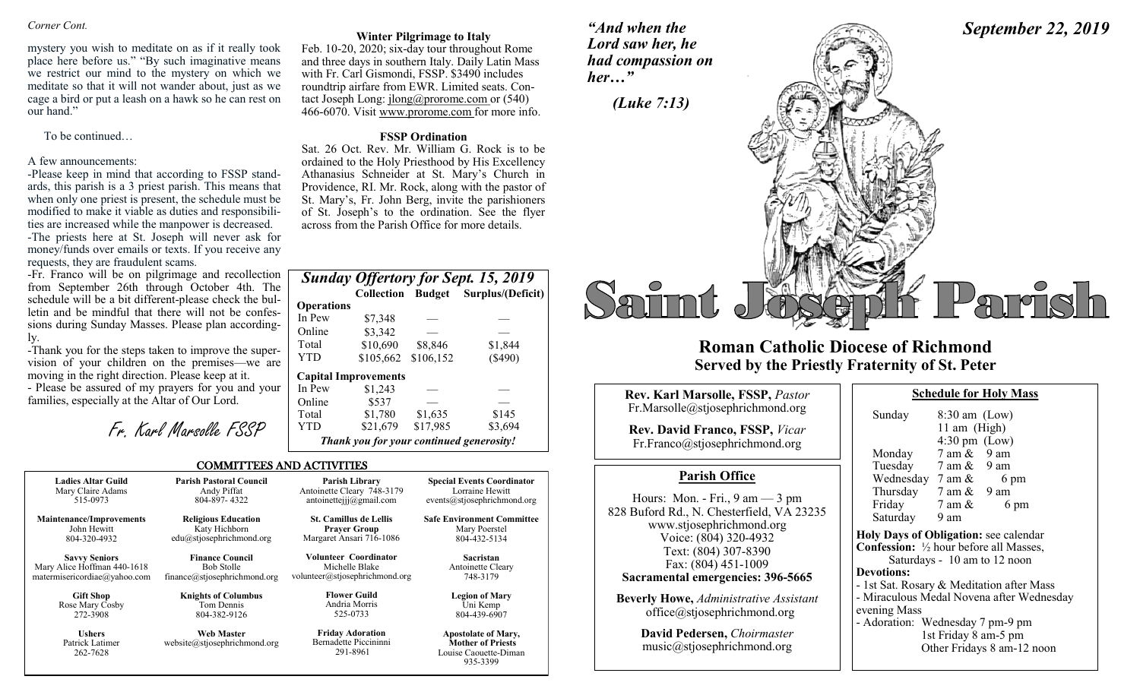### *Corner Cont.*

mystery you wish to meditate on as if it really took place here before us." "By such imaginative means we restrict our mind to the mystery on which we meditate so that it will not wander about, just as we cage a bird or put a leash on a hawk so he can rest on our hand."

To be continued…

### A few announcements:

-Please keep in mind that according to FSSP standards, this parish is a 3 priest parish. This means that when only one priest is present, the schedule must be modified to make it viable as duties and responsibilities are increased while the manpower is decreased. -The priests here at St. Joseph will never ask for money/funds over emails or texts. If you receive any requests, they are fraudulent scams.

-Fr. Franco will be on pilgrimage and recollection from September 26th through October 4th. The schedule will be a bit different-please check the bulletin and be mindful that there will not be confessions during Sunday Masses. Please plan accordingly.

-Thank you for the steps taken to improve the supervision of your children on the premises—we are moving in the right direction. Please keep at it.

- Please be assured of my prayers for you and your families, especially at the Altar of Our Lord.

Fr. Karl Marsolle FSSP

### **Winter Pilgrimage to Italy**

Feb. 10-20, 2020; six-day tour throughout Rome and three days in southern Italy. Daily Latin Mass with Fr. Carl Gismondi, FSSP. \$3490 includes roundtrip airfare from EWR. Limited seats. Contact Joseph Long: jlong@prorome.com or (540) 466-6070. Visit www.prorome.com for more info.

### **FSSP Ordination**

Sat. 26 Oct. Rev. Mr. William G. Rock is to be ordained to the Holy Priesthood by His Excellency Athanasius Schneider at St. Mary's Church in Providence, RI. Mr. Rock, along with the pastor of St. Mary's, Fr. John Berg, invite the parishioners of St. Joseph's to the ordination. See the flyer across from the Parish Office for more details.

| <b>Sunday Offertory for Sept. 15, 2019</b> |                             |           |                                          |  |  |
|--------------------------------------------|-----------------------------|-----------|------------------------------------------|--|--|
|                                            | <b>Collection Budget</b>    |           | Surplus/(Deficit)                        |  |  |
| <b>Operations</b>                          |                             |           |                                          |  |  |
| In Pew                                     | \$7,348                     |           |                                          |  |  |
| Online                                     | \$3,342                     |           |                                          |  |  |
| Total                                      | \$10,690                    | \$8,846   | \$1,844                                  |  |  |
| <b>YTD</b>                                 | \$105,662                   | \$106,152 | $(\$490)$                                |  |  |
|                                            | <b>Capital Improvements</b> |           |                                          |  |  |
| In Pew                                     | \$1,243                     |           |                                          |  |  |
| Online                                     | \$537                       |           |                                          |  |  |
| Total                                      | \$1,780                     | \$1,635   | \$145                                    |  |  |
| <b>YTD</b>                                 | \$21,679                    | \$17,985  | \$3,694                                  |  |  |
|                                            |                             |           | Thank you for your continued generosity! |  |  |

935-3399

### COMMITTEES AND ACTIVITIES

| <b>Ladies Altar Guild</b>                    | <b>Parish Pastoral Council</b>                    | Parish Library                                               | <b>Special Events Coordinator</b>                                               |
|----------------------------------------------|---------------------------------------------------|--------------------------------------------------------------|---------------------------------------------------------------------------------|
| Mary Claire Adams                            | Andy Piffat                                       | Antoinette Cleary 748-3179                                   | Lorraine Hewitt                                                                 |
| 515-0973                                     | 804-897-4322                                      | antoinetteijj@gmail.com                                      | events@stjosephrichmond.org                                                     |
| <b>Maintenance/Improvements</b>              | <b>Religious Education</b>                        | <b>St. Camillus de Lellis</b>                                | <b>Safe Environment Committee</b>                                               |
| John Hewitt                                  | Katy Hichborn                                     | <b>Prayer Group</b>                                          | Mary Poerstel                                                                   |
| 804-320-4932                                 | edu@stjosephrichmond.org                          | Margaret Ansari 716-1086                                     | 804-432-5134                                                                    |
| <b>Savvy Seniors</b>                         | <b>Finance Council</b>                            | <b>Volunteer Coordinator</b>                                 | Sacristan                                                                       |
| Mary Alice Hoffman 440-1618                  | <b>Bob Stolle</b>                                 | Michelle Blake                                               | Antoinette Cleary                                                               |
| matermisericordiae@yahoo.com                 | finance@stjosephrichmond.org                      | volunteer@stjosephrichmond.org                               | 748-3179                                                                        |
| <b>Gift Shop</b>                             | <b>Knights of Columbus</b>                        | <b>Flower Guild</b>                                          | <b>Legion of Mary</b>                                                           |
| Rose Mary Cosby                              | Tom Dennis                                        | Andria Morris                                                | Uni Kemp                                                                        |
| 272-3908                                     | 804-382-9126                                      | 525-0733                                                     | 804-439-6907                                                                    |
| <b>Ushers</b><br>Patrick Latimer<br>262-7628 | <b>Web Master</b><br>website@stjosephrichmond.org | <b>Friday Adoration</b><br>Bernadette Piccininni<br>291-8961 | <b>Apostolate of Mary,</b><br><b>Mother of Priests</b><br>Louise Caouette-Diman |

*"And when the Lord saw her, he her…"*



# **Roman Catholic Diocese of Richmond Served by the Priestly Fraternity of St. Peter**

| <b>Rev. Karl Marsolle, FSSP, Pastor</b>                                                                                    | <b>Schedule for Holy Mass</b>                                                                                         |
|----------------------------------------------------------------------------------------------------------------------------|-----------------------------------------------------------------------------------------------------------------------|
| Fr.Marsolle@stjosephrichmond.org<br><b>Rev. David Franco, FSSP, Vicar</b><br>Fr.Franco@stjosephrichmond.org                | $8:30$ am (Low)<br>Sunday<br>11 am $(High)$<br>$4:30 \text{ pm}$ (Low)<br>7 am &<br>9 am<br>Monday                    |
| <b>Parish Office</b>                                                                                                       | Tuesday 7 am & 9 am<br>Wednesday $7 \text{ am } \&$<br>6 pm                                                           |
| Hours: Mon. - Fri., $9 \text{ am} - 3 \text{ pm}$<br>828 Buford Rd., N. Chesterfield, VA 23235<br>www.stjosephrichmond.org | Thursday $7 \text{ am } \& 9 \text{ am}$<br>Friday<br>7 am &<br>6 pm<br>Saturday<br>9 am                              |
| Voice: (804) 320-4932<br>Text: (804) 307-8390<br>Fax: (804) 451-1009                                                       | Holy Days of Obligation: see calenda<br><b>Confession:</b> 1/2 hour before all Masses<br>Saturdays - 10 am to 12 noon |
| Sacramental emergencies: 396-5665                                                                                          | <b>Devotions:</b><br>- 1st Sat. Rosary & Meditation after M                                                           |
| <b>Beverly Howe, Administrative Assistant</b><br>office@stjosephrichmond.org                                               | - Miraculous Medal Novena after Wed<br>evening Mass<br>- Adoration: Wednesday 7 pm-9 pm                               |
| David Pedersen, Choirmaster<br>music@stjosephrichmond.org                                                                  | 1st Friday 8 am-5 pm<br>Other Fridays 8 am-12 no                                                                      |

| Sunday                                                   | $8:30$ am $(Low)$       |                              |  |
|----------------------------------------------------------|-------------------------|------------------------------|--|
|                                                          | 11 am (High)            |                              |  |
|                                                          | $4:30 \text{ pm}$ (Low) |                              |  |
| Monday 7 am & 9 am                                       |                         |                              |  |
| Tuesday 7 am & 9 am                                      |                         |                              |  |
| Wednesday $7 \text{ am } \& 6 \text{ pm}$                |                         |                              |  |
| Thursday $7 \text{ am } \& 9 \text{ am}$                 |                         |                              |  |
| Friday                                                   | $7 \text{ am } \&$      | 6 pm                         |  |
| Saturday                                                 | 9 am                    |                              |  |
| Holy Days of Obligation: see calendar                    |                         |                              |  |
| <b>Confession:</b> $\frac{1}{2}$ hour before all Masses, |                         |                              |  |
|                                                          |                         | Saturdays - 10 am to 12 noon |  |
| <b>Devotions:</b>                                        |                         |                              |  |
| - 1st Sat. Rosary & Meditation after Mass                |                         |                              |  |
| - Miraculous Medal Novena after Wednesday                |                         |                              |  |
| evening Mass                                             |                         |                              |  |
| - Adoration: Wednesday 7 pm-9 pm                         |                         |                              |  |
|                                                          | 1st Friday 8 am-5 pm    |                              |  |
|                                                          |                         | Other Fridays 8 am-12 noon   |  |
|                                                          |                         |                              |  |

*September 22, 2019*